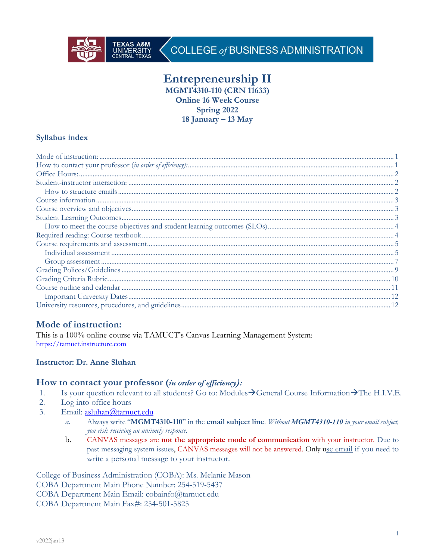

# COLLEGE of BUSINESS ADMINISTRATION

# **Entrepreneurship II**

**MGMT4310-110 (CRN 11633)**

**Online 16 Week Course**

**Spring 2022**

**18 January – 13 May**

# **Syllabus index**

# **Mode of instruction:**

This is a 100% online course via TAMUCT's Canvas Learning Management System: https://tamuct.instructure.com

# **Instructor: Dr. Anne Sluhan**

# **How to contact your professor (***in order of efficiency):*

- 1. Is your question relevant to all students? Go to: Modules $\rightarrow$ General Course Information $\rightarrow$ The H.I.V.E.
- 2. Log into office hours
- 3. Email: asluhan@tamuct.edu
	- *a.* Always write "**MGMT4310-110**" in the **email subject line**. *Without MGMT4310-110 in your email subject, you risk receiving an untimely response.*
	- b. CANVAS messages are **not the appropriate mode of communication** with your instructor. Due to past messaging system issues, CANVAS messages will not be answered. Only use email if you need to write a personal message to your instructor.

College of Business Administration (COBA): Ms. Melanie Mason COBA Department Main Phone Number: 254-519-5437 COBA Department Main Email: cobainfo@tamuct.edu COBA Department Main Fax#: 254-501-5825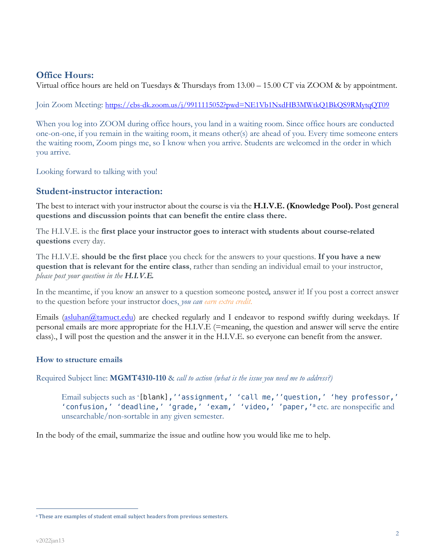# **Office Hours:**

Virtual office hours are held on Tuesdays & Thursdays from 13.00 – 15.00 CT via ZOOM & by appointment.

Join Zoom Meeting: https://cbs-dk.zoom.us/j/9911115052?pwd=NE1Vb1NxdHB3MWtkQ1BkQS9RMytqQT09

When you log into ZOOM during office hours, you land in a waiting room. Since office hours are conducted one-on-one, if you remain in the waiting room, it means other(s) are ahead of you. Every time someone enters the waiting room, Zoom pings me, so I know when you arrive. Students are welcomed in the order in which you arrive.

Looking forward to talking with you!

# **Student-instructor interaction:**

The best to interact with your instructor about the course is via the **H.I.V.E. (Knowledge Pool). Post general questions and discussion points that can benefit the entire class there.**

The H.I.V.E. is the **first place your instructor goes to interact with students about course-related questions** every day.

The H.I.V.E. **should be the first place** you check for the answers to your questions. **If you have a new question that is relevant for the entire class**, rather than sending an individual email to your instructor, *please post your question in the H.I.V.E.*

In the meantime, if you know an answer to a question someone posted*,* answer it! If you post a correct answer to the question before your instructor does, *you can earn extra credit*.

Emails (asluhan@tamuct.edu) are checked regularly and I endeavor to respond swiftly during weekdays. If personal emails are more appropriate for the H.I.V.E (=meaning, the question and answer will serve the entire class)., I will post the question and the answer it in the H.I.V.E. so everyone can benefit from the answer.

### **How to structure emails**

Required Subject line: **MGMT4310-110** & *call to action (what is the issue you need me to address?)*

Email subjects such as '[blank],''assignment,' 'call me,''question,' 'hey professor,' 'confusion,' 'deadline,' 'grade,' 'exam,' 'video,' 'paper,'<sup>a</sup> etc. are nonspecific and unsearchable/non-sortable in any given semester.

In the body of the email, summarize the issue and outline how you would like me to help.

<sup>&</sup>lt;sup>a</sup> These are examples of student email subject headers from previous semesters.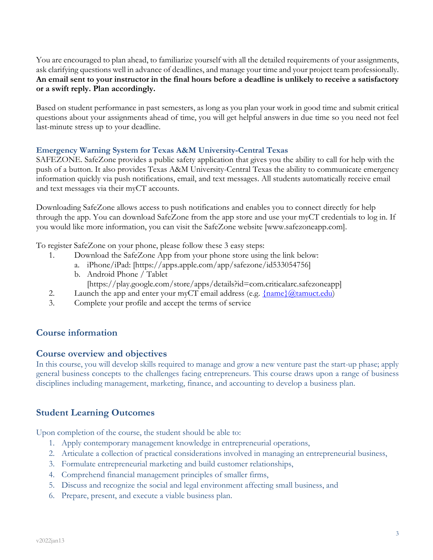You are encouraged to plan ahead, to familiarize yourself with all the detailed requirements of your assignments, ask clarifying questions well in advance of deadlines, and manage your time and your project team professionally. **An email sent to your instructor in the final hours before a deadline is unlikely to receive a satisfactory or a swift reply. Plan accordingly.**

Based on student performance in past semesters, as long as you plan your work in good time and submit critical questions about your assignments ahead of time, you will get helpful answers in due time so you need not feel last-minute stress up to your deadline.

### **Emergency Warning System for Texas A&M University-Central Texas**

SAFEZONE. SafeZone provides a public safety application that gives you the ability to call for help with the push of a button. It also provides Texas A&M University-Central Texas the ability to communicate emergency information quickly via push notifications, email, and text messages. All students automatically receive email and text messages via their myCT accounts.

Downloading SafeZone allows access to push notifications and enables you to connect directly for help through the app. You can download SafeZone from the app store and use your myCT credentials to log in. If you would like more information, you can visit the SafeZone website [www.safezoneapp.com].

To register SafeZone on your phone, please follow these 3 easy steps:

- 1. Download the SafeZone App from your phone store using the link below:
	- a. iPhone/iPad: [https://apps.apple.com/app/safezone/id533054756]
	- b. Android Phone / Tablet
		- [https://play.google.com/store/apps/details?id=com.criticalarc.safezoneapp]
- 2. Launch the app and enter your myCT email address (e.g.  $\{\text{name}\}\langle\omega\text{tamuct.edu}\rangle$ )
- 3. Complete your profile and accept the terms of service

# **Course information**

# **Course overview and objectives**

In this course, you will develop skills required to manage and grow a new venture past the start-up phase; apply general business concepts to the challenges facing entrepreneurs. This course draws upon a range of business disciplines including management, marketing, finance, and accounting to develop a business plan.

# **Student Learning Outcomes**

Upon completion of the course, the student should be able to:

- 1. Apply contemporary management knowledge in entrepreneurial operations,
- 2. Articulate a collection of practical considerations involved in managing an entrepreneurial business,
- 3. Formulate entrepreneurial marketing and build customer relationships,
- 4. Comprehend financial management principles of smaller firms,
- 5. Discuss and recognize the social and legal environment affecting small business, and
- 6. Prepare, present, and execute a viable business plan.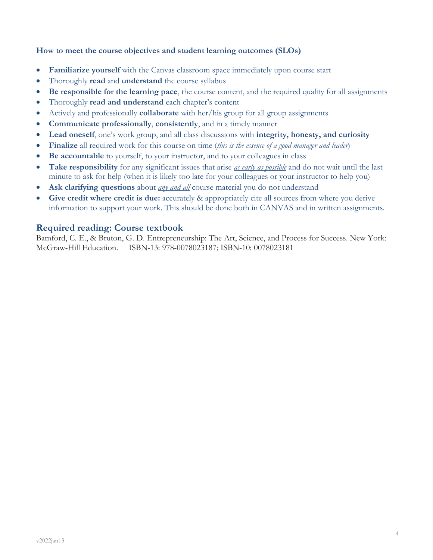### **How to meet the course objectives and student learning outcomes (SLOs)**

- **Familiarize yourself** with the Canvas classroom space immediately upon course start
- Thoroughly **read** and **understand** the course syllabus
- **Be responsible for the learning pace**, the course content, and the required quality for all assignments
- Thoroughly **read and understand** each chapter's content
- Actively and professionally **collaborate** with her/his group for all group assignments
- **Communicate professionally**, **consistently**, and in a timely manner
- **Lead oneself**, one's work group, and all class discussions with **integrity, honesty, and curiosity**
- **Finalize** all required work for this course on time (*this is the essence of a good manager and leader*)
- **Be accountable** to yourself, to your instructor, and to your colleagues in class
- **Take responsibility** for any significant issues that arise *as early as possible* and do not wait until the last minute to ask for help (when it is likely too late for your colleagues or your instructor to help you)
- Ask clarifying questions about *any and all* course material you do not understand
- **Give credit where credit is due:** accurately & appropriately cite all sources from where you derive information to support your work. This should be done both in CANVAS and in written assignments.

### **Required reading: Course textbook**

Bamford, C. E., & Bruton, G. D. Entrepreneurship: The Art, Science, and Process for Success. New York: McGraw-Hill Education. ISBN-13: 978-0078023187; ISBN-10: 0078023181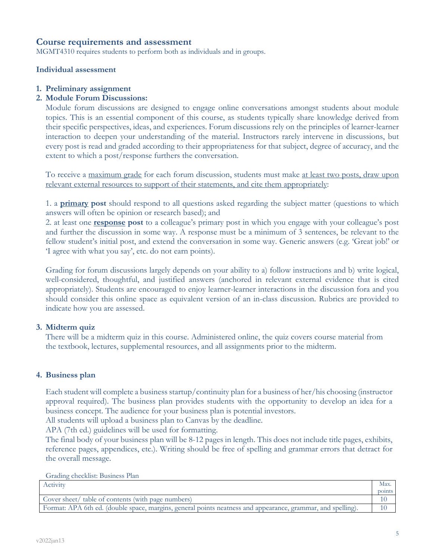### **Course requirements and assessment**

MGMT4310 requires students to perform both as individuals and in groups.

#### **Individual assessment**

#### **1. Preliminary assignment**

#### **2. Module Forum Discussions:**

Module forum discussions are designed to engage online conversations amongst students about module topics. This is an essential component of this course, as students typically share knowledge derived from their specific perspectives, ideas, and experiences. Forum discussions rely on the principles of learner-learner interaction to deepen your understanding of the material. Instructors rarely intervene in discussions, but every post is read and graded according to their appropriateness for that subject, degree of accuracy, and the extent to which a post/response furthers the conversation.

To receive a maximum grade for each forum discussion, students must make at least two posts, draw upon relevant external resources to support of their statements, and cite them appropriately:

1. a **primary post** should respond to all questions asked regarding the subject matter (questions to which answers will often be opinion or research based); and

2. at least one **response post** to a colleague's primary post in which you engage with your colleague's post and further the discussion in some way. A response must be a minimum of 3 sentences, be relevant to the fellow student's initial post, and extend the conversation in some way. Generic answers (e.g. 'Great job!' or 'I agree with what you say', etc. do not earn points).

Grading for forum discussions largely depends on your ability to a) follow instructions and b) write logical, well-considered, thoughtful, and justified answers (anchored in relevant external evidence that is cited appropriately). Students are encouraged to enjoy learner-learner interactions in the discussion fora and you should consider this online space as equivalent version of an in-class discussion. Rubrics are provided to indicate how you are assessed.

### **3. Midterm quiz**

There will be a midterm quiz in this course. Administered online, the quiz covers course material from the textbook, lectures, supplemental resources, and all assignments prior to the midterm.

### **4. Business plan**

Each student will complete a business startup/continuity plan for a business of her/his choosing (instructor approval required). The business plan provides students with the opportunity to develop an idea for a business concept. The audience for your business plan is potential investors.

All students will upload a business plan to Canvas by the deadline.

APA (7th ed.) guidelines will be used for formatting.

The final body of your business plan will be 8-12 pages in length. This does not include title pages, exhibits, reference pages, appendices, etc.). Writing should be free of spelling and grammar errors that detract for the overall message.

Grading checklist: Business Plan

| Activity                                                                                                    | Max.   |
|-------------------------------------------------------------------------------------------------------------|--------|
|                                                                                                             | points |
| Cover sheet/ table of contents (with page numbers)                                                          |        |
| Format: APA 6th ed. (double space, margins, general points neatness and appearance, grammar, and spelling). |        |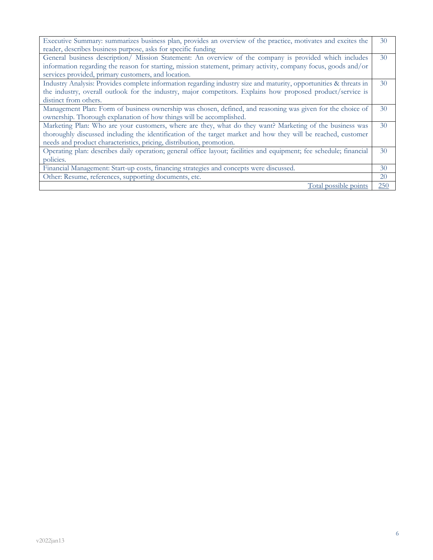| Executive Summary: summarizes business plan, provides an overview of the practice, motivates and excites the        | 30  |  |
|---------------------------------------------------------------------------------------------------------------------|-----|--|
| reader, describes business purpose, asks for specific funding                                                       |     |  |
| General business description/ Mission Statement: An overview of the company is provided which includes              | 30  |  |
| information regarding the reason for starting, mission statement, primary activity, company focus, goods and/or     |     |  |
| services provided, primary customers, and location.                                                                 |     |  |
| Industry Analysis: Provides complete information regarding industry size and maturity, opportunities & threats in   | 30  |  |
| the industry, overall outlook for the industry, major competitors. Explains how proposed product/service is         |     |  |
| distinct from others.                                                                                               |     |  |
| Management Plan: Form of business ownership was chosen, defined, and reasoning was given for the choice of          | 30  |  |
| ownership. Thorough explanation of how things will be accomplished.                                                 |     |  |
| Marketing Plan: Who are your customers, where are they, what do they want? Marketing of the business was            | 30  |  |
| thoroughly discussed including the identification of the target market and how they will be reached, customer       |     |  |
| needs and product characteristics, pricing, distribution, promotion.                                                |     |  |
| Operating plan: describes daily operation; general office layout; facilities and equipment; fee schedule; financial | 30  |  |
| policies.                                                                                                           |     |  |
| Financial Management: Start-up costs, financing strategies and concepts were discussed.                             | 30  |  |
| Other: Resume, references, supporting documents, etc.                                                               | 20  |  |
| Total possible points                                                                                               | 250 |  |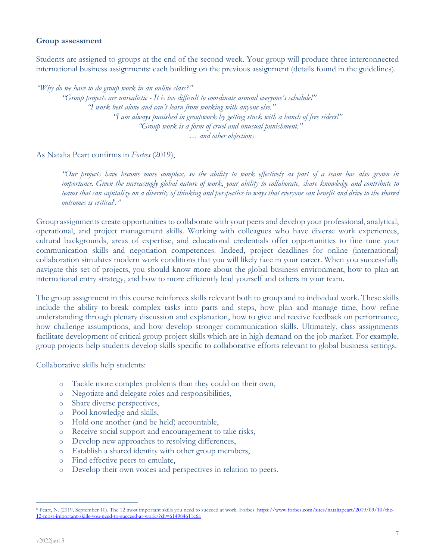### **Group assessment**

Students are assigned to groups at the end of the second week. Your group will produce three interconnected international business assignments: each building on the previous assignment (details found in the guidelines).

*"Why do we have to do group work in an online class?"*

*"Group projects are unrealistic - It is too difficult to coordinate around everyone's schedule!" "I work best alone and can't learn from working with anyone else." "I am always punished in groupwork by getting stuck with a bunch of free riders!" "Group work is a form of cruel and unusual punishment."*  … *and other objections*

As Natalia Peart confirms in *Forbes* (2019),

*"Our projects have become more complex, so the ability to work effectively as part of a team has also grown in importance. Given the increasingly global nature of work, your ability to collaborate, share knowledge and contribute to teams that can capitalize on a diversity of thinking and perspective in ways that everyone can benefit and drive to the shared outcomes is criticalb ."*

Group assignments create opportunities to collaborate with your peers and develop your professional, analytical, operational, and project management skills. Working with colleagues who have diverse work experiences, cultural backgrounds, areas of expertise, and educational credentials offer opportunities to fine tune your communication skills and negotiation competences. Indeed, project deadlines for online (international) collaboration simulates modern work conditions that you will likely face in your career. When you successfully navigate this set of projects, you should know more about the global business environment, how to plan an international entry strategy, and how to more efficiently lead yourself and others in your team.

The group assignment in this course reinforces skills relevant both to group and to individual work. These skills include the ability to break complex tasks into parts and steps, how plan and manage time, how refine understanding through plenary discussion and explanation, how to give and receive feedback on performance, how challenge assumptions, and how develop stronger communication skills. Ultimately, class assignments facilitate development of critical group project skills which are in high demand on the job market. For example, group projects help students develop skills specific to collaborative efforts relevant to global business settings.

Collaborative skills help students:

- o Tackle more complex problems than they could on their own,
- o Negotiate and delegate roles and responsibilities,
- o Share diverse perspectives,
- o Pool knowledge and skills,
- o Hold one another (and be held) accountable,
- o Receive social support and encouragement to take risks,
- o Develop new approaches to resolving differences,
- o Establish a shared identity with other group members,
- o Find effective peers to emulate,
- o Develop their own voices and perspectives in relation to peers.

<sup>&</sup>lt;sup>b</sup> Peart, N. (2019, September 10). The 12 most important skills you need to succeed at work. Forbes. https://www.forbes.com/sites/nataliapeart/2019/09/10/the-12-most-important-skills-you-need-to-succeed-at-work/?sh=614984611c6a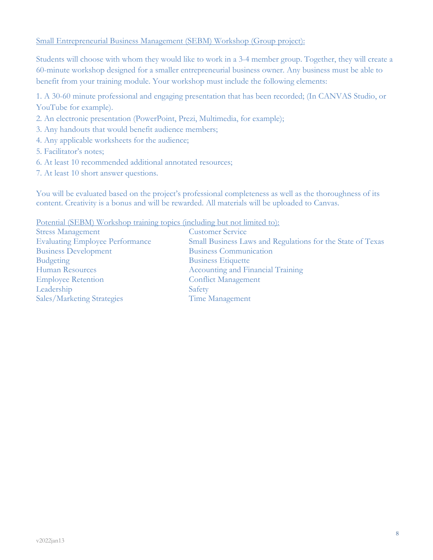### Small Entrepreneurial Business Management (SEBM) Workshop (Group project):

Students will choose with whom they would like to work in a 3-4 member group. Together, they will create a 60-minute workshop designed for a smaller entrepreneurial business owner. Any business must be able to benefit from your training module. Your workshop must include the following elements:

1. A 30-60 minute professional and engaging presentation that has been recorded; (In CANVAS Studio, or YouTube for example).

- 2. An electronic presentation (PowerPoint, Prezi, Multimedia, for example);
- 3. Any handouts that would benefit audience members;
- 4. Any applicable worksheets for the audience;
- 5. Facilitator's notes;
- 6. At least 10 recommended additional annotated resources;
- 7. At least 10 short answer questions.

You will be evaluated based on the project's professional completeness as well as the thoroughness of its content. Creativity is a bonus and will be rewarded. All materials will be uploaded to Canvas.

Potential (SEBM) Workshop training topics (including but not limited to):

| <b>Stress Management</b>               | Custo        |
|----------------------------------------|--------------|
| <b>Evaluating Employee Performance</b> | Small        |
| <b>Business Development</b>            | <b>Busin</b> |
| <b>Budgeting</b>                       | <b>Busin</b> |
| Human Resources                        | Accou        |
| <b>Employee Retention</b>              | Confli       |
| Leadership                             | Safety       |
| Sales/Marketing Strategies             | Time         |

**Customer Service** Small Business Laws and Regulations for the State of Texas **Business Communication Business Etiquette** Accounting and Financial Training Conflict Management Time Management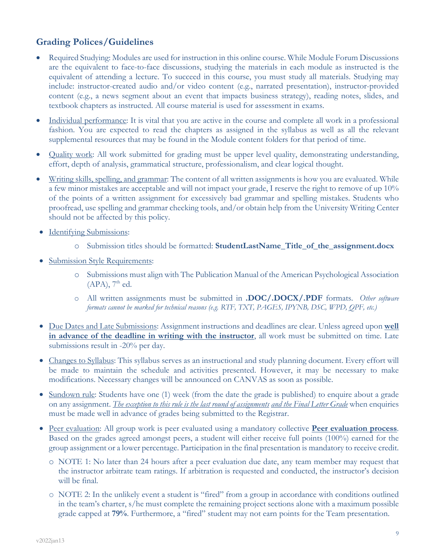# **Grading Polices/Guidelines**

- Required Studying: Modules are used for instruction in this online course. While Module Forum Discussions are the equivalent to face-to-face discussions, studying the materials in each module as instructed is the equivalent of attending a lecture. To succeed in this course, you must study all materials. Studying may include: instructor-created audio and/or video content (e.g., narrated presentation), instructor-provided content (e.g., a news segment about an event that impacts business strategy), reading notes, slides, and textbook chapters as instructed. All course material is used for assessment in exams.
- Individual performance: It is vital that you are active in the course and complete all work in a professional fashion. You are expected to read the chapters as assigned in the syllabus as well as all the relevant supplemental resources that may be found in the Module content folders for that period of time.
- Quality work: All work submitted for grading must be upper level quality, demonstrating understanding, effort, depth of analysis, grammatical structure, professionalism, and clear logical thought.
- Writing skills, spelling, and grammar: The content of all written assignments is how you are evaluated. While a few minor mistakes are acceptable and will not impact your grade, I reserve the right to remove of up 10% of the points of a written assignment for excessively bad grammar and spelling mistakes. Students who proofread, use spelling and grammar checking tools, and/or obtain help from the University Writing Center should not be affected by this policy.
- Identifying Submissions:
	- o Submission titles should be formatted: **StudentLastName\_Title\_of\_the\_assignment.docx**
- Submission Style Requirements:
	- o Submissions must align with The Publication Manual of the American Psychological Association  $(APA)$ ,  $7<sup>th</sup>$  ed.
	- o All written assignments must be submitted in **.DOC/.DOCX/.PDF** formats. *Other software formats cannot be marked for technical reasons (e.g. RTF, TXT, PAGES, IPYNB, DSC, WPD, QPF, etc.)*
- Due Dates and Late Submissions: Assignment instructions and deadlines are clear. Unless agreed upon **well in advance of the deadline in writing with the instructor**, all work must be submitted on time. Late submissions result in -20% per day.
- Changes to Syllabus: This syllabus serves as an instructional and study planning document. Every effort will be made to maintain the schedule and activities presented. However, it may be necessary to make modifications. Necessary changes will be announced on CANVAS as soon as possible.
- Sundown rule: Students have one (1) week (from the date the grade is published) to enquire about a grade on any assignment. *The exception to this rule is the last round of assignments and the Final Letter Grade* when enquiries must be made well in advance of grades being submitted to the Registrar.
- Peer evaluation: All group work is peer evaluated using a mandatory collective **Peer evaluation process**. Based on the grades agreed amongst peers, a student will either receive full points (100%) earned for the group assignment or a lower percentage. Participation in the final presentation is mandatory to receive credit.
	- o NOTE 1: No later than 24 hours after a peer evaluation due date, any team member may request that the instructor arbitrate team ratings. If arbitration is requested and conducted, the instructor's decision will be final.
	- o NOTE 2: In the unlikely event a student is "fired" from a group in accordance with conditions outlined in the team's charter, s/he must complete the remaining project sections alone with a maximum possible grade capped at **79%**. Furthermore, a "fired" student may not earn points for the Team presentation.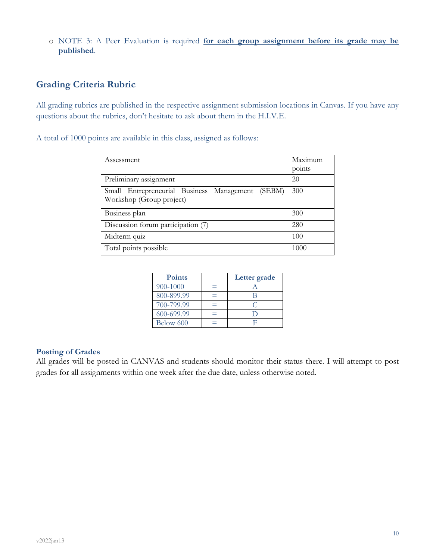o NOTE 3: A Peer Evaluation is required **for each group assignment before its grade may be published**.

# **Grading Criteria Rubric**

All grading rubrics are published in the respective assignment submission locations in Canvas. If you have any questions about the rubrics, don't hesitate to ask about them in the H.I.V.E.

A total of 1000 points are available in this class, assigned as follows:

| Assessment                                                                   | Maximum<br>points |
|------------------------------------------------------------------------------|-------------------|
| Preliminary assignment                                                       | 20                |
| Small Entrepreneurial Business Management (SEBM)<br>Workshop (Group project) | 300               |
| Business plan                                                                | 300               |
| Discussion forum participation (7)                                           | 280               |
| Midterm quiz                                                                 | 100               |
| Total points possible                                                        | 1000              |

| <b>Points</b> | Letter grade |
|---------------|--------------|
| 900-1000      |              |
| 800-899.99    |              |
| 700-799.99    |              |
| 600-699.99    |              |
| Below 600     |              |

### **Posting of Grades**

All grades will be posted in CANVAS and students should monitor their status there. I will attempt to post grades for all assignments within one week after the due date, unless otherwise noted.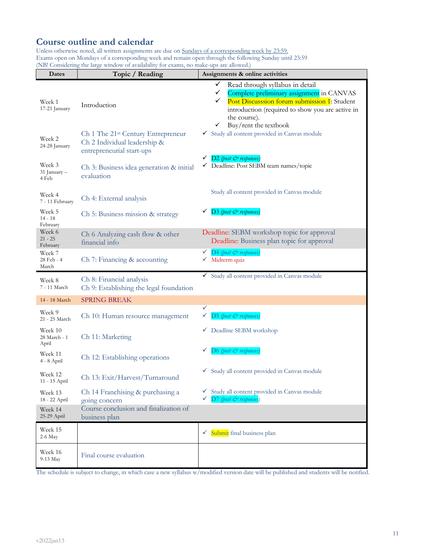# **Course outline and calendar**

Unless otherwise noted, all written assignments are due on Sundays of a corresponding week by 23:59. Exams open on Mondays of a corresponding week and remain open through the following Sunday until 23:59 (NB! Considering the large window of availability for exams, no make-ups are allowed.)

| Dates                            | Topic / Reading                                                                                             | Assignments & online activities                                                                                                                                                                                                                                                |
|----------------------------------|-------------------------------------------------------------------------------------------------------------|--------------------------------------------------------------------------------------------------------------------------------------------------------------------------------------------------------------------------------------------------------------------------------|
| Week 1<br>17-21 January          | Introduction                                                                                                | $\checkmark$<br>Read through syllabus in detail<br>$\checkmark$<br>Complete preliminary assignment in CANVAS<br>Post Discusssion forum submission 1: Student<br>$\checkmark$<br>introduction (required to show you are active in<br>the course).<br>Buy/rent the textbook<br>✓ |
| Week 2<br>24-28 January          | Ch 1 The 21 <sup>st</sup> Century Entrepreneur<br>Ch 2 Individual leadership &<br>entrepreneurial start-ups | Study all content provided in Canvas module<br>✓                                                                                                                                                                                                                               |
| Week 3<br>31 January –<br>4 Feb  | Ch 3: Business idea generation & initial<br>evaluation                                                      | D <sub>2</sub> (post & responses)<br>Deadline: Post SEBM team names/topic<br>✓                                                                                                                                                                                                 |
| Week 4<br>7 - 11 February        | Ch 4: External analysis                                                                                     | Study all content provided in Canvas module                                                                                                                                                                                                                                    |
| Week 5<br>$14 - 18$<br>February  | Ch 5: Business mission & strategy                                                                           | $D3$ (post $\breve{c}$ <sup>2</sup> responses)                                                                                                                                                                                                                                 |
| Week 6<br>$21 - 25$<br>February  | Ch 6 Analyzing cash flow & other<br>financial info                                                          | Deadline: SEBM workshop topic for approval<br>Deadline: Business plan topic for approval                                                                                                                                                                                       |
| Week 7<br>28 Feb - 4<br>March    | Ch 7: Financing & accounting                                                                                | D4 (post & responses)<br>✓<br>$\checkmark$ Midterm quiz                                                                                                                                                                                                                        |
| Week 8<br>7 - 11 March           | Ch 8: Financial analysis<br>Ch 9: Establishing the legal foundation                                         | Study all content provided in Canvas module                                                                                                                                                                                                                                    |
| 14 - 18 March                    | <b>SPRING BREAK</b>                                                                                         |                                                                                                                                                                                                                                                                                |
| Week 9<br>21 - 25 March          | Ch 10: Human resource management                                                                            | ✓<br>D5 (post & responses)<br>✓                                                                                                                                                                                                                                                |
| Week 10<br>28 March - 1<br>April | Ch 11: Marketing                                                                                            | Deadline SEBM workshop<br>v.                                                                                                                                                                                                                                                   |
| Week 11<br>4 - 8 April           | Ch 12: Establishing operations                                                                              | D6 (post & responses)                                                                                                                                                                                                                                                          |
| Week 12<br>11 - 15 April         | Ch 13: Exit/Harvest/Turnaround                                                                              | Study all content provided in Canvas module<br>V,                                                                                                                                                                                                                              |
| Week 13<br>18 - 22 April         | Ch 14 Franchising & purchasing a<br>going concern                                                           | Study all content provided in Canvas module<br>✓<br>D7 (post & responses)                                                                                                                                                                                                      |
| Week 14<br>25-29 April           | Course conclusion and finalization of<br>business plan                                                      |                                                                                                                                                                                                                                                                                |
| Week 15<br>2-6 May               |                                                                                                             | $\checkmark$ Submit final business plan                                                                                                                                                                                                                                        |
| Week 16<br>9-13 May              | Final course evaluation                                                                                     |                                                                                                                                                                                                                                                                                |

The schedule is subject to change, in which case a new syllabus w/modified version date will be published and students will be notified.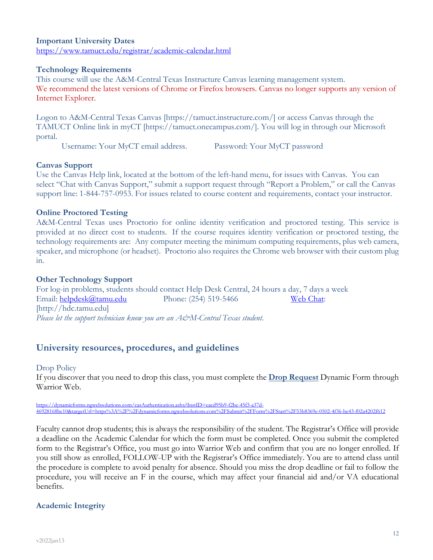### **Important University Dates** https://www.tamuct.edu/registrar/academic-calendar.html

### **Technology Requirements**

This course will use the A&M-Central Texas Instructure Canvas learning management system. We recommend the latest versions of Chrome or Firefox browsers. Canvas no longer supports any version of Internet Explorer.

Logon to A&M-Central Texas Canvas [https://tamuct.instructure.com/] or access Canvas through the TAMUCT Online link in myCT [https://tamuct.onecampus.com/]. You will log in through our Microsoft portal.

Username: Your MyCT email address. Password: Your MyCT password

### **Canvas Support**

Use the Canvas Help link, located at the bottom of the left-hand menu, for issues with Canvas. You can select "Chat with Canvas Support," submit a support request through "Report a Problem," or call the Canvas support line: 1-844-757-0953. For issues related to course content and requirements, contact your instructor.

### **Online Proctored Testing**

A&M-Central Texas uses Proctorio for online identity verification and proctored testing. This service is provided at no direct cost to students. If the course requires identity verification or proctored testing, the technology requirements are: Any computer meeting the minimum computing requirements, plus web camera, speaker, and microphone (or headset). Proctorio also requires the Chrome web browser with their custom plug in.

### **Other Technology Support**

For log-in problems, students should contact Help Desk Central, 24 hours a day, 7 days a week Email: helpdesk@tamu.edu Phone: (254) 519-5466 Web Chat: [http://hdc.tamu.edu] *Please let the support technician know you are an A&M-Central Texas student.*

# **University resources, procedures, and guidelines**

### Drop Policy

If you discover that you need to drop this class, you must complete the **Drop Request** Dynamic Form through Warrior Web.

https://dynamicforms.ngwebsolutions.com/casAuthentication.ashx?InstID=eaed95b9-f2be-45f3-a37d-46928168bc10&targetUrl=https%3A%2F%2Fdynamicforms.ngwebsolutions.com%2FSubmit%2FForm%2FStart%2F53b8369e-0502-4f36-be43-f02a4202f612

Faculty cannot drop students; this is always the responsibility of the student. The Registrar's Office will provide a deadline on the Academic Calendar for which the form must be completed. Once you submit the completed form to the Registrar's Office, you must go into Warrior Web and confirm that you are no longer enrolled. If you still show as enrolled, FOLLOW-UP with the Registrar's Office immediately. You are to attend class until the procedure is complete to avoid penalty for absence. Should you miss the drop deadline or fail to follow the procedure, you will receive an F in the course, which may affect your financial aid and/or VA educational benefits.

### **Academic Integrity**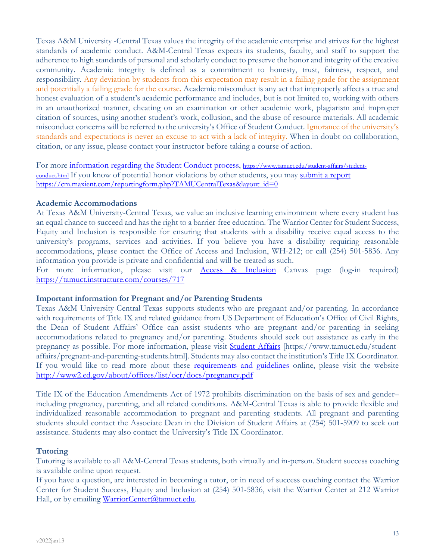Texas A&M University -Central Texas values the integrity of the academic enterprise and strives for the highest standards of academic conduct. A&M-Central Texas expects its students, faculty, and staff to support the adherence to high standards of personal and scholarly conduct to preserve the honor and integrity of the creative community. Academic integrity is defined as a commitment to honesty, trust, fairness, respect, and responsibility. Any deviation by students from this expectation may result in a failing grade for the assignment and potentially a failing grade for the course. Academic misconduct is any act that improperly affects a true and honest evaluation of a student's academic performance and includes, but is not limited to, working with others in an unauthorized manner, cheating on an examination or other academic work, plagiarism and improper citation of sources, using another student's work, collusion, and the abuse of resource materials. All academic misconduct concerns will be referred to the university's Office of Student Conduct. Ignorance of the university's standards and expectations is never an excuse to act with a lack of integrity. When in doubt on collaboration, citation, or any issue, please contact your instructor before taking a course of action.

For more information regarding the Student Conduct process, https://www.tamuct.edu/student-affairs/studentconduct.html If you know of potential honor violations by other students, you may submit a report https://cm.maxient.com/reportingform.php?TAMUCentralTexas&layout\_id=0

### **Academic Accommodations**

At Texas A&M University-Central Texas, we value an inclusive learning environment where every student has an equal chance to succeed and has the right to a barrier-free education. The Warrior Center for Student Success, Equity and Inclusion is responsible for ensuring that students with a disability receive equal access to the university's programs, services and activities. If you believe you have a disability requiring reasonable accommodations, please contact the Office of Access and Inclusion, WH-212; or call (254) 501-5836. Any information you provide is private and confidential and will be treated as such.

For more information, please visit our **Access & Inclusion** Canvas page (log-in required) https://tamuct.instructure.com/courses/717

### **Important information for Pregnant and/or Parenting Students**

Texas A&M University-Central Texas supports students who are pregnant and/or parenting. In accordance with requirements of Title IX and related guidance from US Department of Education's Office of Civil Rights, the Dean of Student Affairs' Office can assist students who are pregnant and/or parenting in seeking accommodations related to pregnancy and/or parenting. Students should seek out assistance as early in the pregnancy as possible. For more information, please visit Student Affairs [https://www.tamuct.edu/studentaffairs/pregnant-and-parenting-students.html]. Students may also contact the institution's Title IX Coordinator. If you would like to read more about these **requirements and guidelines** online, please visit the website http://www2.ed.gov/about/offices/list/ocr/docs/pregnancy.pdf

Title IX of the Education Amendments Act of 1972 prohibits discrimination on the basis of sex and gender– including pregnancy, parenting, and all related conditions. A&M-Central Texas is able to provide flexible and individualized reasonable accommodation to pregnant and parenting students. All pregnant and parenting students should contact the Associate Dean in the Division of Student Affairs at (254) 501-5909 to seek out assistance. Students may also contact the University's Title IX Coordinator.

### **Tutoring**

Tutoring is available to all A&M-Central Texas students, both virtually and in-person. Student success coaching is available online upon request.

If you have a question, are interested in becoming a tutor, or in need of success coaching contact the Warrior Center for Student Success, Equity and Inclusion at (254) 501-5836, visit the Warrior Center at 212 Warrior Hall, or by emailing WarriorCenter@tamuct.edu.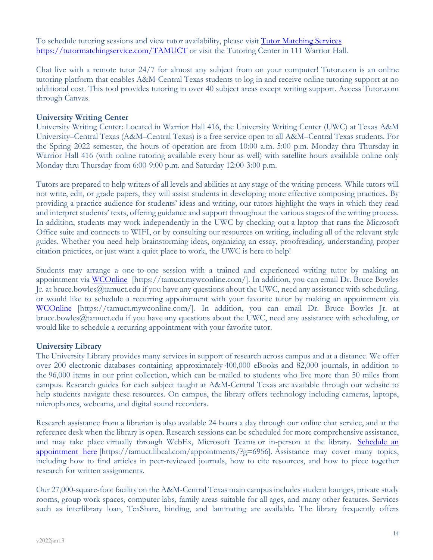To schedule tutoring sessions and view tutor availability, please visit Tutor Matching Services https://tutormatchingservice.com/TAMUCT or visit the Tutoring Center in 111 Warrior Hall.

Chat live with a remote tutor 24/7 for almost any subject from on your computer! Tutor.com is an online tutoring platform that enables A&M-Central Texas students to log in and receive online tutoring support at no additional cost. This tool provides tutoring in over 40 subject areas except writing support. Access Tutor.com through Canvas.

### **University Writing Center**

University Writing Center: Located in Warrior Hall 416, the University Writing Center (UWC) at Texas A&M University–Central Texas (A&M–Central Texas) is a free service open to all A&M–Central Texas students. For the Spring 2022 semester, the hours of operation are from 10:00 a.m.-5:00 p.m. Monday thru Thursday in Warrior Hall 416 (with online tutoring available every hour as well) with satellite hours available online only Monday thru Thursday from 6:00-9:00 p.m. and Saturday 12:00-3:00 p.m.

Tutors are prepared to help writers of all levels and abilities at any stage of the writing process. While tutors will not write, edit, or grade papers, they will assist students in developing more effective composing practices. By providing a practice audience for students' ideas and writing, our tutors highlight the ways in which they read and interpret students' texts, offering guidance and support throughout the various stages of the writing process. In addition, students may work independently in the UWC by checking out a laptop that runs the Microsoft Office suite and connects to WIFI, or by consulting our resources on writing, including all of the relevant style guides. Whether you need help brainstorming ideas, organizing an essay, proofreading, understanding proper citation practices, or just want a quiet place to work, the UWC is here to help!

Students may arrange a one-to-one session with a trained and experienced writing tutor by making an appointment via WCOnline [https://tamuct.mywconline.com/]. In addition, you can email Dr. Bruce Bowles Jr. at bruce.bowles@tamuct.edu if you have any questions about the UWC, need any assistance with scheduling, or would like to schedule a recurring appointment with your favorite tutor by making an appointment via WCOnline [https://tamuct.mywconline.com/]. In addition, you can email Dr. Bruce Bowles Jr. at bruce.bowles@tamuct.edu if you have any questions about the UWC, need any assistance with scheduling, or would like to schedule a recurring appointment with your favorite tutor.

### **University Library**

The University Library provides many services in support of research across campus and at a distance. We offer over 200 electronic databases containing approximately 400,000 eBooks and 82,000 journals, in addition to the 96,000 items in our print collection, which can be mailed to students who live more than 50 miles from campus. Research guides for each subject taught at A&M-Central Texas are available through our website to help students navigate these resources. On campus, the library offers technology including cameras, laptops, microphones, webcams, and digital sound recorders.

Research assistance from a librarian is also available 24 hours a day through our online chat service, and at the reference desk when the library is open. Research sessions can be scheduled for more comprehensive assistance, and may take place virtually through WebEx, Microsoft Teams or in-person at the library. Schedule an appointment here [https://tamuct.libcal.com/appointments/?g=6956]. Assistance may cover many topics, including how to find articles in peer-reviewed journals, how to cite resources, and how to piece together research for written assignments.

Our 27,000-square-foot facility on the A&M-Central Texas main campus includes student lounges, private study rooms, group work spaces, computer labs, family areas suitable for all ages, and many other features. Services such as interlibrary loan, TexShare, binding, and laminating are available. The library frequently offers